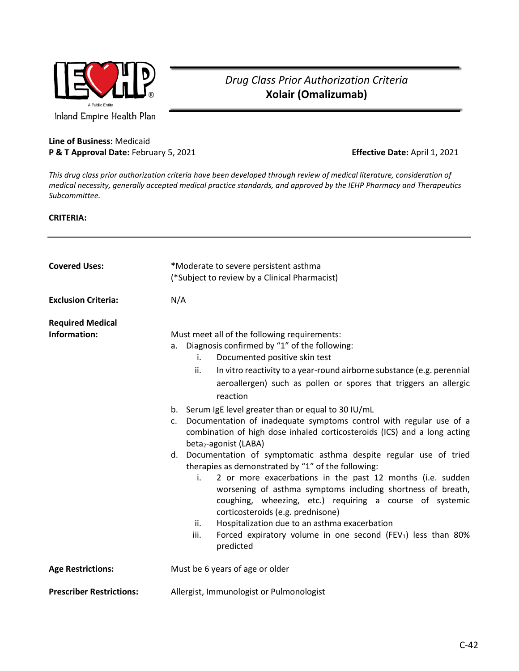

## *Drug Class Prior Authorization Criteria* **Xolair (Omalizumab)**

**Line of Business:** Medicaid **P & T Approval Date:** February 5, 2021 **Effective Date:** April 1, 2021

*This drug class prior authorization criteria have been developed through review of medical literature, consideration of medical necessity, generally accepted medical practice standards, and approved by the IEHP Pharmacy and Therapeutics Subcommittee.*

## **CRITERIA:**

| <b>Covered Uses:</b>                    | *Moderate to severe persistent asthma<br>(*Subject to review by a Clinical Pharmacist)                                                                                                                                                                                                                                                                                                                                                                                                                                                                                                                                                                                                                                                                                                                                                                                                                                                                                                                                                                                                    |
|-----------------------------------------|-------------------------------------------------------------------------------------------------------------------------------------------------------------------------------------------------------------------------------------------------------------------------------------------------------------------------------------------------------------------------------------------------------------------------------------------------------------------------------------------------------------------------------------------------------------------------------------------------------------------------------------------------------------------------------------------------------------------------------------------------------------------------------------------------------------------------------------------------------------------------------------------------------------------------------------------------------------------------------------------------------------------------------------------------------------------------------------------|
| <b>Exclusion Criteria:</b>              | N/A                                                                                                                                                                                                                                                                                                                                                                                                                                                                                                                                                                                                                                                                                                                                                                                                                                                                                                                                                                                                                                                                                       |
| <b>Required Medical</b><br>Information: | Must meet all of the following requirements:<br>Diagnosis confirmed by "1" of the following:<br>a.<br>Documented positive skin test<br>i.<br>ii.<br>In vitro reactivity to a year-round airborne substance (e.g. perennial<br>aeroallergen) such as pollen or spores that triggers an allergic<br>reaction<br>b. Serum IgE level greater than or equal to 30 IU/mL<br>Documentation of inadequate symptoms control with regular use of a<br>c.<br>combination of high dose inhaled corticosteroids (ICS) and a long acting<br>beta <sub>2</sub> -agonist (LABA)<br>d. Documentation of symptomatic asthma despite regular use of tried<br>therapies as demonstrated by "1" of the following:<br>2 or more exacerbations in the past 12 months (i.e. sudden<br>i.<br>worsening of asthma symptoms including shortness of breath,<br>coughing, wheezing, etc.) requiring a course of systemic<br>corticosteroids (e.g. prednisone)<br>Hospitalization due to an asthma exacerbation<br>ii.<br>iii.<br>Forced expiratory volume in one second (FEV <sub>1</sub> ) less than 80%<br>predicted |
| <b>Age Restrictions:</b>                | Must be 6 years of age or older                                                                                                                                                                                                                                                                                                                                                                                                                                                                                                                                                                                                                                                                                                                                                                                                                                                                                                                                                                                                                                                           |
| <b>Prescriber Restrictions:</b>         | Allergist, Immunologist or Pulmonologist                                                                                                                                                                                                                                                                                                                                                                                                                                                                                                                                                                                                                                                                                                                                                                                                                                                                                                                                                                                                                                                  |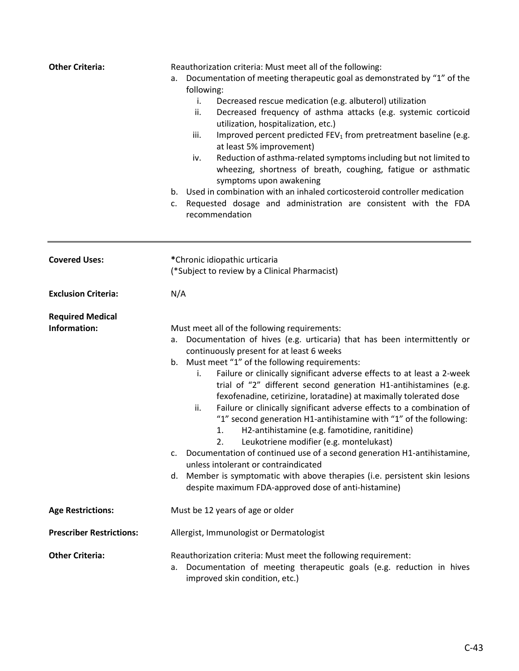| <b>Other Criteria:</b>                  | Reauthorization criteria: Must meet all of the following:<br>Documentation of meeting therapeutic goal as demonstrated by "1" of the<br>a.<br>following:<br>i.<br>Decreased rescue medication (e.g. albuterol) utilization<br>Decreased frequency of asthma attacks (e.g. systemic corticoid<br>ii.<br>utilization, hospitalization, etc.)<br>Improved percent predicted FEV <sub>1</sub> from pretreatment baseline (e.g.<br>iii.<br>at least 5% improvement)<br>Reduction of asthma-related symptoms including but not limited to<br>iv.<br>wheezing, shortness of breath, coughing, fatigue or asthmatic<br>symptoms upon awakening<br>Used in combination with an inhaled corticosteroid controller medication<br>b.                                                                                                                                                                                                                                                 |
|-----------------------------------------|--------------------------------------------------------------------------------------------------------------------------------------------------------------------------------------------------------------------------------------------------------------------------------------------------------------------------------------------------------------------------------------------------------------------------------------------------------------------------------------------------------------------------------------------------------------------------------------------------------------------------------------------------------------------------------------------------------------------------------------------------------------------------------------------------------------------------------------------------------------------------------------------------------------------------------------------------------------------------|
|                                         | Requested dosage and administration are consistent with the FDA<br>c.<br>recommendation                                                                                                                                                                                                                                                                                                                                                                                                                                                                                                                                                                                                                                                                                                                                                                                                                                                                                  |
| <b>Covered Uses:</b>                    | *Chronic idiopathic urticaria<br>(*Subject to review by a Clinical Pharmacist)                                                                                                                                                                                                                                                                                                                                                                                                                                                                                                                                                                                                                                                                                                                                                                                                                                                                                           |
| <b>Exclusion Criteria:</b>              | N/A                                                                                                                                                                                                                                                                                                                                                                                                                                                                                                                                                                                                                                                                                                                                                                                                                                                                                                                                                                      |
| <b>Required Medical</b><br>Information: | Must meet all of the following requirements:<br>a. Documentation of hives (e.g. urticaria) that has been intermittently or<br>continuously present for at least 6 weeks<br>b. Must meet "1" of the following requirements:<br>Failure or clinically significant adverse effects to at least a 2-week<br>i.<br>trial of "2" different second generation H1-antihistamines (e.g.<br>fexofenadine, cetirizine, loratadine) at maximally tolerated dose<br>Failure or clinically significant adverse effects to a combination of<br>ii.<br>"1" second generation H1-antihistamine with "1" of the following:<br>H2-antihistamine (e.g. famotidine, ranitidine)<br>1.<br>Leukotriene modifier (e.g. montelukast)<br>c. Documentation of continued use of a second generation H1-antihistamine,<br>unless intolerant or contraindicated<br>d. Member is symptomatic with above therapies (i.e. persistent skin lesions<br>despite maximum FDA-approved dose of anti-histamine) |
| <b>Age Restrictions:</b>                | Must be 12 years of age or older                                                                                                                                                                                                                                                                                                                                                                                                                                                                                                                                                                                                                                                                                                                                                                                                                                                                                                                                         |
| <b>Prescriber Restrictions:</b>         | Allergist, Immunologist or Dermatologist                                                                                                                                                                                                                                                                                                                                                                                                                                                                                                                                                                                                                                                                                                                                                                                                                                                                                                                                 |
| <b>Other Criteria:</b>                  | Reauthorization criteria: Must meet the following requirement:<br>Documentation of meeting therapeutic goals (e.g. reduction in hives<br>а.<br>improved skin condition, etc.)                                                                                                                                                                                                                                                                                                                                                                                                                                                                                                                                                                                                                                                                                                                                                                                            |